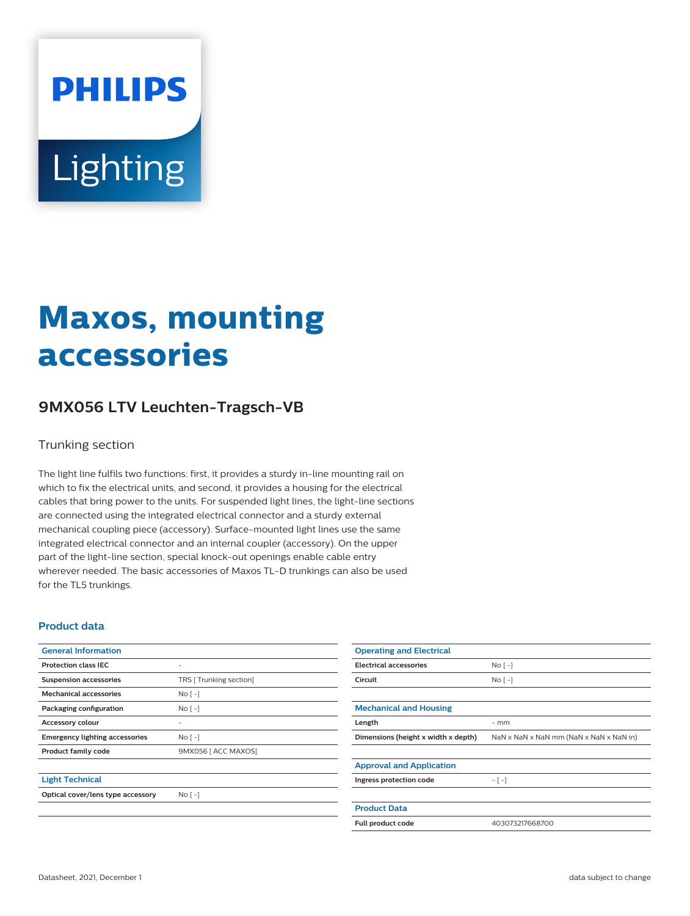# **PHILIPS** Lighting

## **Maxos, mounting accessories**

### **9MX056 LTV Leuchten-Tragsch-VB**

#### Trunking section

The light line fulfils two functions: first, it provides a sturdy in-line mounting rail on which to fix the electrical units, and second, it provides a housing for the electrical cables that bring power to the units. For suspended light lines, the light-line sections are connected using the integrated electrical connector and a sturdy external mechanical coupling piece (accessory). Surface-mounted light lines use the same integrated electrical connector and an internal coupler (accessory). On the upper part of the light-line section, special knock-out openings enable cable entry wherever needed. The basic accessories of Maxos TL-D trunkings can also be used for the TL5 trunkings.

#### **Product data**

| <b>General Information</b>            |                         | <b>Operating and Electrical</b>     |                  |
|---------------------------------------|-------------------------|-------------------------------------|------------------|
| <b>Protection class IEC</b>           | -                       | <b>Electrical accessories</b>       | No <sub>1</sub>  |
| <b>Suspension accessories</b>         | TRS [ Trunking section] | Circuit                             | No <sub>1</sub>  |
| <b>Mechanical accessories</b>         | $No[-]$                 |                                     |                  |
| Packaging configuration               | $No[-]$                 | <b>Mechanical and Housing</b>       |                  |
| Accessory colour                      |                         | Length                              | $-$ mm           |
| <b>Emergency lighting accessories</b> | $No[-]$                 | Dimensions (height x width x depth) | $NaN \times NaN$ |
| Product family code                   | 9MX056 [ ACC MAXOS]     |                                     |                  |
|                                       |                         | <b>Approval and Application</b>     |                  |
| <b>Light Technical</b>                |                         | Ingress protection code             | $-[-]$           |
| Optical cover/lens type accessory     | $No [-]$                |                                     |                  |
|                                       |                         | - - - - -                           |                  |

**Dimensions (height x width x depth)** NaN x NaN x NaN mm (NaN x NaN x NaN in) **Product Data Full product code** 403073217668700